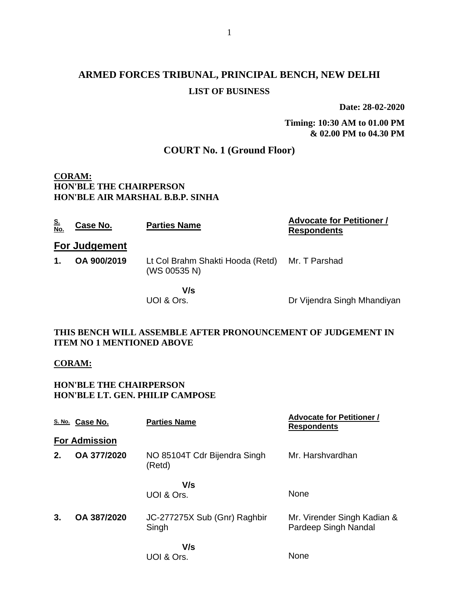# **ARMED FORCES TRIBUNAL, PRINCIPAL BENCH, NEW DELHI LIST OF BUSINESS**

**Date: 28-02-2020**

**Timing: 10:30 AM to 01.00 PM & 02.00 PM to 04.30 PM**

# **COURT No. 1 (Ground Floor)**

### **CORAM: HON'BLE THE CHAIRPERSON HON'BLE AIR MARSHAL B.B.P. SINHA**

| <u>S.<br/>No.</u> | Case No.             | <b>Parties Name</b>                              | <b>Advocate for Petitioner /</b><br><b>Respondents</b> |
|-------------------|----------------------|--------------------------------------------------|--------------------------------------------------------|
|                   | <b>For Judgement</b> |                                                  |                                                        |
| 1.                | OA 900/2019          | Lt Col Brahm Shakti Hooda (Retd)<br>(WS 00535 N) | Mr. T Parshad                                          |
|                   |                      | V/s<br>UOI & Ors.                                | Dr Vijendra Singh Mhandiyan                            |

## **THIS BENCH WILL ASSEMBLE AFTER PRONOUNCEMENT OF JUDGEMENT IN ITEM NO 1 MENTIONED ABOVE**

#### **CORAM:**

## **HON'BLE THE CHAIRPERSON HON'BLE LT. GEN. PHILIP CAMPOSE**

|    | S. No. Case No.      | <b>Parties Name</b>                    | <b>Advocate for Petitioner /</b><br><b>Respondents</b> |
|----|----------------------|----------------------------------------|--------------------------------------------------------|
|    | <b>For Admission</b> |                                        |                                                        |
| 2. | OA 377/2020          | NO 85104T Cdr Bijendra Singh<br>(Retd) | Mr. Harshvardhan                                       |
|    |                      | V/s<br>UOI & Ors.                      | None                                                   |
| 3. | OA 387/2020          | JC-277275X Sub (Gnr) Raghbir<br>Singh  | Mr. Virender Singh Kadian &<br>Pardeep Singh Nandal    |
|    |                      | V/s<br>I INI & Nrs                     | None                                                   |

UOI & Ors.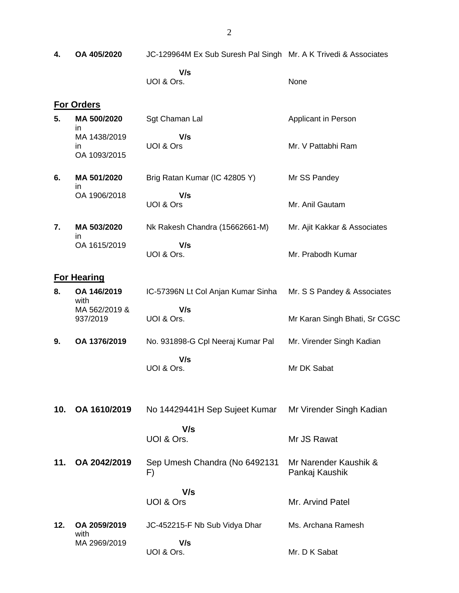**4. OA 405/2020** JC-129964M Ex Sub Suresh Pal Singh Mr. A K Trivedi & Associates

 **V/s** UOI & Ors.

None

#### **For Orders**

- **5. MA 500/2020** in MA 1438/2019 in OA 1093/2015 Sgt Chaman Lal  **V/s** UOI & Ors Applicant in Person Mr. V Pattabhi Ram
- **6. MA 501/2020** in OA 1906/2018 Brig Ratan Kumar (IC 42805 Y)  **V/s** UOI & Ors Mr SS Pandey Mr. Anil Gautam
- **7. MA 503/2020** in OA 1615/2019 Nk Rakesh Chandra (15662661-M)  **V/s** UOI & Ors. Mr. Ajit Kakkar & Associates Mr. Prabodh Kumar

#### **For Hearing**

with

- **8. OA 146/2019** with MA 562/2019 & 937/2019 IC-57396N Lt Col Anjan Kumar Sinha  **V/s** UOI & Ors. Mr. S S Pandey & Associates Mr Karan Singh Bhati, Sr CGSC **9. OA 1376/2019** No. 931898-G Cpl Neeraj Kumar Pal Mr. Virender Singh Kadian
	- **V/s** UOI & Ors. Mr DK Sabat
- **10. OA 1610/2019** No 14429441H Sep Sujeet Kumar  **V/s** UOI & Ors. Mr Virender Singh Kadian Mr JS Rawat **11. OA 2042/2019** Sep Umesh Chandra (No 6492131 F) Mr Narender Kaushik & Pankaj Kaushik

 **V/s** UOI & Ors Mr. Arvind Patel **12. OA 2059/2019** MA 2969/2019 JC-452215-F Nb Sub Vidya Dhar  **V/s** Ms. Archana Ramesh

Mr. D K Sabat

UOI & Ors.

2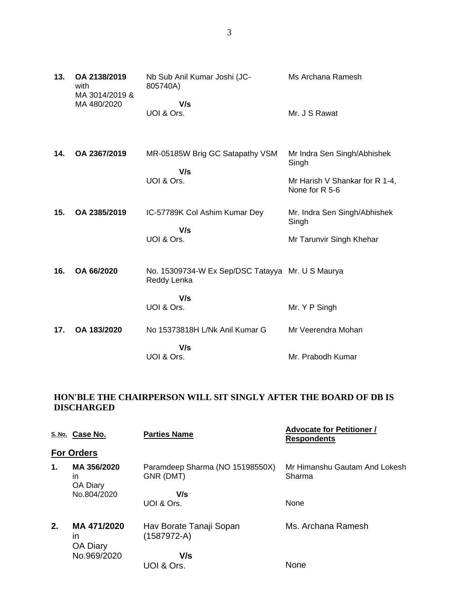| 13. | OA 2138/2019<br>with<br>MA 3014/2019 & | Nb Sub Anil Kumar Joshi (JC-<br>805740A)                        | Ms Archana Ramesh                                |
|-----|----------------------------------------|-----------------------------------------------------------------|--------------------------------------------------|
|     | MA 480/2020                            | V/s<br>UOI & Ors.                                               | Mr. J S Rawat                                    |
| 14. | OA 2367/2019                           | MR-05185W Brig GC Satapathy VSM                                 | Mr Indra Sen Singh/Abhishek<br>Singh             |
|     |                                        | V/s<br>UOI & Ors.                                               | Mr Harish V Shankar for R 1-4,<br>None for R 5-6 |
| 15. | OA 2385/2019                           | IC-57789K Col Ashim Kumar Dey<br>V/s                            | Mr. Indra Sen Singh/Abhishek<br>Singh            |
|     |                                        | UOI & Ors.                                                      | Mr Tarunvir Singh Khehar                         |
| 16. | OA 66/2020                             | No. 15309734-W Ex Sep/DSC Tatayya Mr. U S Maurya<br>Reddy Lenka |                                                  |
|     |                                        | V/s<br>UOI & Ors.                                               | Mr. Y P Singh                                    |
| 17. | OA 183/2020                            | No 15373818H L/Nk Anil Kumar G                                  | Mr Veerendra Mohan                               |
|     |                                        | V/s<br>UOI & Ors.                                               | Mr. Prabodh Kumar                                |

# **HON'BLE THE CHAIRPERSON WILL SIT SINGLY AFTER THE BOARD OF DB IS DISCHARGED**

|    | S. No. Case No.                      | <b>Parties Name</b>                          | <b>Advocate for Petitioner /</b><br><b>Respondents</b> |
|----|--------------------------------------|----------------------------------------------|--------------------------------------------------------|
|    | <b>For Orders</b>                    |                                              |                                                        |
| 1. | MA 356/2020<br>ın<br><b>OA Diary</b> | Paramdeep Sharma (NO 15198550X)<br>GNR (DMT) | Mr Himanshu Gautam And Lokesh<br>Sharma                |
|    | No.804/2020                          | V/s                                          |                                                        |
|    |                                      | UOI & Ors.                                   | <b>None</b>                                            |
| 2. | MA 471/2020<br>ın<br><b>OA Diary</b> | Hav Borate Tanaji Sopan<br>$(1587972-A)$     | Ms. Archana Ramesh                                     |
|    | No.969/2020                          | V/s                                          |                                                        |
|    |                                      | UOI & Ors.                                   | <b>None</b>                                            |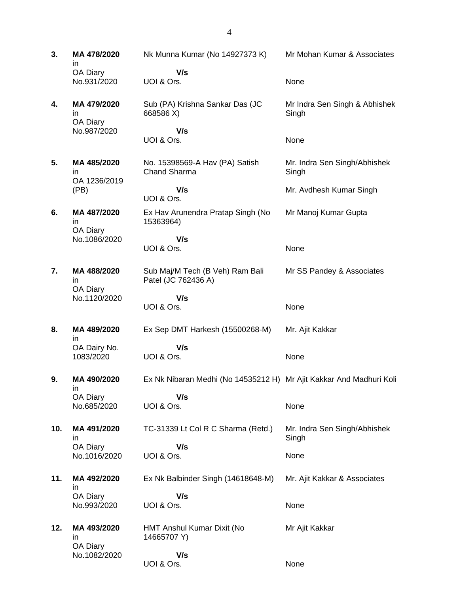**3. MA 478/2020** in OA Diary No.931/2020 Nk Munna Kumar (No 14927373 K)  **V/s** UOI & Ors. Mr Mohan Kumar & Associates None **4. MA 479/2020** in OA Diary No.987/2020 Sub (PA) Krishna Sankar Das (JC 668586 X)  **V/s** UOI & Ors. Mr Indra Sen Singh & Abhishek **Singh** None **5. MA 485/2020** in OA 1236/2019 (PB) No. 15398569-A Hav (PA) Satish Chand Sharma  **V/s** UOI & Ors. Mr. Indra Sen Singh/Abhishek Singh Mr. Avdhesh Kumar Singh **6. MA 487/2020** in OA Diary No.1086/2020 Ex Hav Arunendra Pratap Singh (No 15363964)  **V/s** UOI & Ors. Mr Manoj Kumar Gupta None **7. MA 488/2020** in OA Diary No.1120/2020 Sub Maj/M Tech (B Veh) Ram Bali Patel (JC 762436 A)  **V/s** UOI & Ors. Mr SS Pandey & Associates None **8. MA 489/2020** in OA Dairy No. 1083/2020 Ex Sep DMT Harkesh (15500268-M)  **V/s** UOI & Ors. Mr. Ajit Kakkar None **9. MA 490/2020** in OA Diary No.685/2020 Ex Nk Nibaran Medhi (No 14535212 H) Mr Ajit Kakkar And Madhuri Koli  **V/s** UOI & Ors. None **10. MA 491/2020** in OA Diary No.1016/2020 TC-31339 Lt Col R C Sharma (Retd.)  **V/s** UOI & Ors. Mr. Indra Sen Singh/Abhishek Singh None **11. MA 492/2020** in OA Diary No.993/2020 Ex Nk Balbinder Singh (14618648-M)  **V/s** UOI & Ors. Mr. Ajit Kakkar & Associates None **12. MA 493/2020** in OA Diary No.1082/2020 HMT Anshul Kumar Dixit (No 14665707 Y)  **V/s** Mr Ajit Kakkar

None

UOI & Ors.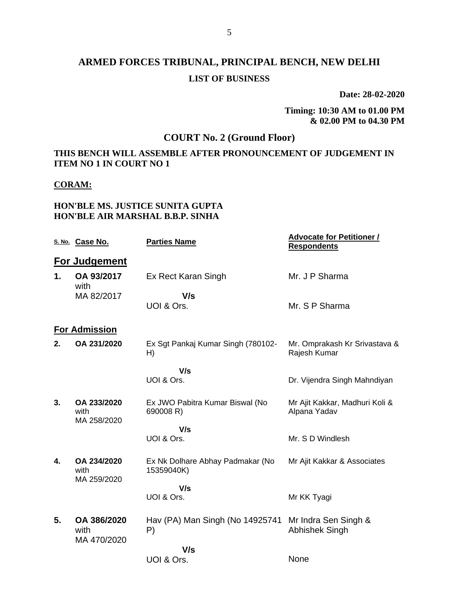# **ARMED FORCES TRIBUNAL, PRINCIPAL BENCH, NEW DELHI LIST OF BUSINESS**

**Date: 28-02-2020**

**Timing: 10:30 AM to 01.00 PM & 02.00 PM to 04.30 PM**

# **COURT No. 2 (Ground Floor)**

## **THIS BENCH WILL ASSEMBLE AFTER PRONOUNCEMENT OF JUDGEMENT IN ITEM NO 1 IN COURT NO 1**

### **CORAM:**

## **HON'BLE MS. JUSTICE SUNITA GUPTA HON'BLE AIR MARSHAL B.B.P. SINHA**

|    | S. No. Case No.                    | <b>Parties Name</b>                            | <b>Advocate for Petitioner /</b><br><b>Respondents</b> |
|----|------------------------------------|------------------------------------------------|--------------------------------------------------------|
|    | <b>For Judgement</b>               |                                                |                                                        |
| 1. | OA 93/2017<br>with                 | Ex Rect Karan Singh                            | Mr. J P Sharma                                         |
|    | MA 82/2017                         | V/s                                            |                                                        |
|    |                                    | UOI & Ors.                                     | Mr. S P Sharma                                         |
|    | <b>For Admission</b>               |                                                |                                                        |
| 2. | OA 231/2020                        | Ex Sgt Pankaj Kumar Singh (780102-<br>H)       | Mr. Omprakash Kr Srivastava &<br>Rajesh Kumar          |
|    |                                    | V/s                                            |                                                        |
|    |                                    | UOI & Ors.                                     | Dr. Vijendra Singh Mahndiyan                           |
| 3. | OA 233/2020<br>with<br>MA 258/2020 | Ex JWO Pabitra Kumar Biswal (No<br>690008 R)   | Mr Ajit Kakkar, Madhuri Koli &<br>Alpana Yadav         |
|    |                                    | V/s                                            |                                                        |
|    |                                    | UOI & Ors.                                     | Mr. S D Windlesh                                       |
| 4. | OA 234/2020<br>with<br>MA 259/2020 | Ex Nk Dolhare Abhay Padmakar (No<br>15359040K) | Mr Ajit Kakkar & Associates                            |
|    |                                    | V/s                                            |                                                        |
|    |                                    | UOI & Ors.                                     | Mr KK Tyagi                                            |
| 5. | OA 386/2020<br>with<br>MA 470/2020 | Hav (PA) Man Singh (No 14925741<br>P)          | Mr Indra Sen Singh &<br><b>Abhishek Singh</b>          |
|    |                                    | V/s                                            |                                                        |
|    |                                    | UOI & Ors.                                     | None                                                   |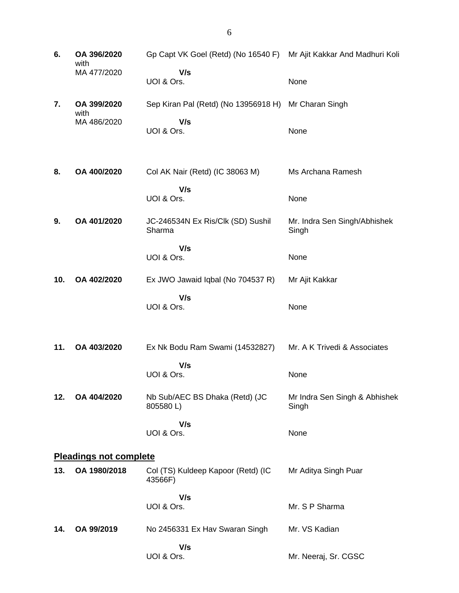| 6.  | OA 396/2020<br>with           | Gp Capt VK Goel (Retd) (No 16540 F) Mr Ajit Kakkar And Madhuri Koli |                                        |
|-----|-------------------------------|---------------------------------------------------------------------|----------------------------------------|
|     | MA 477/2020                   | V/s<br>UOI & Ors.                                                   | None                                   |
| 7.  | OA 399/2020<br>with           | Sep Kiran Pal (Retd) (No 13956918 H) Mr Charan Singh                |                                        |
|     | MA 486/2020                   | V/s<br>UOI & Ors.                                                   | None                                   |
| 8.  | OA 400/2020                   | Col AK Nair (Retd) (IC 38063 M)                                     | Ms Archana Ramesh                      |
|     |                               | V/s<br>UOI & Ors.                                                   | None                                   |
| 9.  | OA 401/2020                   | JC-246534N Ex Ris/Clk (SD) Sushil<br>Sharma                         | Mr. Indra Sen Singh/Abhishek<br>Singh  |
|     |                               | V/s<br>UOI & Ors.                                                   | None                                   |
| 10. | OA 402/2020                   | Ex JWO Jawaid Iqbal (No 704537 R)                                   | Mr Ajit Kakkar                         |
|     |                               | V/s<br>UOI & Ors.                                                   | None                                   |
| 11. | OA 403/2020                   | Ex Nk Bodu Ram Swami (14532827)                                     | Mr. A K Trivedi & Associates           |
|     |                               | V/s<br>UOI & Ors.                                                   | None                                   |
| 12. | OA 404/2020                   | Nb Sub/AEC BS Dhaka (Retd) (JC<br>805580L)                          | Mr Indra Sen Singh & Abhishek<br>Singh |
|     |                               | V/s<br>UOI & Ors.                                                   | None                                   |
|     | <b>Pleadings not complete</b> |                                                                     |                                        |
| 13. | OA 1980/2018                  | Col (TS) Kuldeep Kapoor (Retd) (IC<br>43566F)                       | Mr Aditya Singh Puar                   |
|     |                               | V/s<br>UOI & Ors.                                                   | Mr. S P Sharma                         |
| 14. | OA 99/2019                    | No 2456331 Ex Hav Swaran Singh                                      | Mr. VS Kadian                          |
|     |                               | V/s<br>UOI & Ors.                                                   | Mr. Neeraj, Sr. CGSC                   |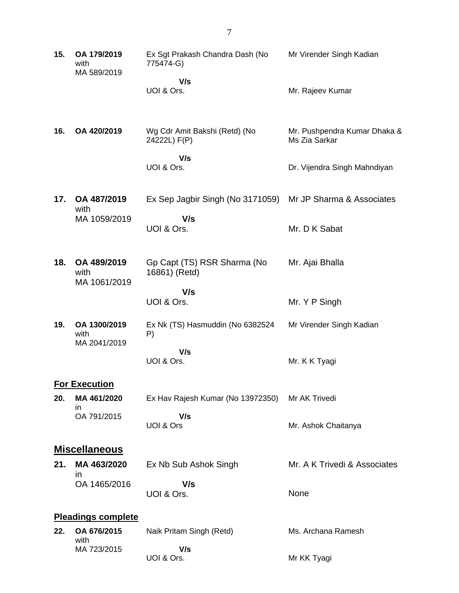| 15. | OA 179/2019<br>with<br>MA 589/2019   | Ex Sgt Prakash Chandra Dash (No<br>775474-G)<br>V/s<br>UOI & Ors.  | Mr Virender Singh Kadian<br>Mr. Rajeev Kumar                                  |
|-----|--------------------------------------|--------------------------------------------------------------------|-------------------------------------------------------------------------------|
| 16. | OA 420/2019                          | Wg Cdr Amit Bakshi (Retd) (No<br>24222L) F(P)<br>V/s<br>UOI & Ors. | Mr. Pushpendra Kumar Dhaka &<br>Ms Zia Sarkar<br>Dr. Vijendra Singh Mahndiyan |
| 17. | OA 487/2019<br>with                  | Ex Sep Jagbir Singh (No 3171059)                                   | Mr JP Sharma & Associates                                                     |
|     | MA 1059/2019                         | V/s<br>UOI & Ors.                                                  | Mr. D K Sabat                                                                 |
| 18. | OA 489/2019<br>with<br>MA 1061/2019  | Gp Capt (TS) RSR Sharma (No<br>16861) (Retd)                       | Mr. Ajai Bhalla                                                               |
|     |                                      | V/s<br>UOI & Ors.                                                  | Mr. Y P Singh                                                                 |
| 19. | OA 1300/2019<br>with<br>MA 2041/2019 | Ex Nk (TS) Hasmuddin (No 6382524<br>P)                             | Mr Virender Singh Kadian                                                      |
|     |                                      | V/s<br>UOI & Ors.                                                  | Mr. K K Tyagi                                                                 |
| 20. | <b>For Execution</b><br>MA 461/2020  | Ex Hav Rajesh Kumar (No 13972350)                                  | Mr AK Trivedi                                                                 |
|     | ın<br>OA 791/2015                    | V/s<br>UOI & Ors                                                   | Mr. Ashok Chaitanya                                                           |
|     | <b>Miscellaneous</b>                 |                                                                    |                                                                               |
| 21. | MA 463/2020<br>in                    | Ex Nb Sub Ashok Singh                                              | Mr. A K Trivedi & Associates                                                  |
|     | OA 1465/2016                         | V/s<br>UOI & Ors.                                                  | None                                                                          |
|     | <b>Pleadings complete</b>            |                                                                    |                                                                               |
| 22. | OA 676/2015<br>with                  | Naik Pritam Singh (Retd)                                           | Ms. Archana Ramesh                                                            |
|     | MA 723/2015                          | V/s<br>UOI & Ors.                                                  | Mr KK Tyagi                                                                   |